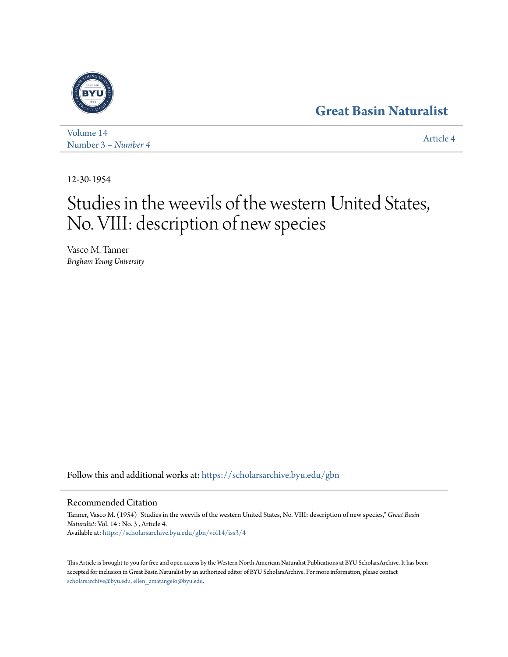# **[Great Basin Naturalist](https://scholarsarchive.byu.edu/gbn?utm_source=scholarsarchive.byu.edu%2Fgbn%2Fvol14%2Fiss3%2F4&utm_medium=PDF&utm_campaign=PDFCoverPages)**



[Volume 14](https://scholarsarchive.byu.edu/gbn/vol14?utm_source=scholarsarchive.byu.edu%2Fgbn%2Fvol14%2Fiss3%2F4&utm_medium=PDF&utm_campaign=PDFCoverPages) Number 3 *[– Number 4](https://scholarsarchive.byu.edu/gbn/vol14/iss3?utm_source=scholarsarchive.byu.edu%2Fgbn%2Fvol14%2Fiss3%2F4&utm_medium=PDF&utm_campaign=PDFCoverPages)* [Article 4](https://scholarsarchive.byu.edu/gbn/vol14/iss3/4?utm_source=scholarsarchive.byu.edu%2Fgbn%2Fvol14%2Fiss3%2F4&utm_medium=PDF&utm_campaign=PDFCoverPages)

12-30-1954

# Studies in the weevils of the western United States, No. VIII: description of new species

Vasco M. Tanner *Brigham Young University*

Follow this and additional works at: [https://scholarsarchive.byu.edu/gbn](https://scholarsarchive.byu.edu/gbn?utm_source=scholarsarchive.byu.edu%2Fgbn%2Fvol14%2Fiss3%2F4&utm_medium=PDF&utm_campaign=PDFCoverPages)

# Recommended Citation

Tanner, Vasco M. (1954) "Studies in the weevils of the western United States, No. VIII: description of new species," *Great Basin Naturalist*: Vol. 14 : No. 3 , Article 4. Available at: [https://scholarsarchive.byu.edu/gbn/vol14/iss3/4](https://scholarsarchive.byu.edu/gbn/vol14/iss3/4?utm_source=scholarsarchive.byu.edu%2Fgbn%2Fvol14%2Fiss3%2F4&utm_medium=PDF&utm_campaign=PDFCoverPages)

This Article is brought to you for free and open access by the Western North American Naturalist Publications at BYU ScholarsArchive. It has been accepted for inclusion in Great Basin Naturalist by an authorized editor of BYU ScholarsArchive. For more information, please contact [scholarsarchive@byu.edu, ellen\\_amatangelo@byu.edu.](mailto:scholarsarchive@byu.edu,%20ellen_amatangelo@byu.edu)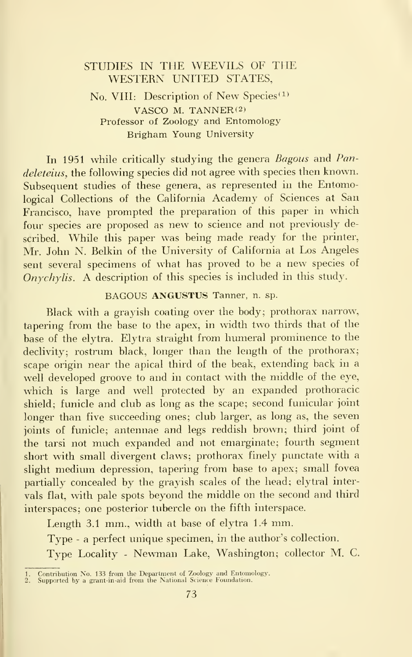# STUDIES IN THE WEEVILS OF THE WESTERN UNITED STATES,

### No. VIII: Description of New Species<sup>(1)</sup> VASCO M. TANNER $(2)$ Professor of Zoology and Entomology Brigham Young University

In 1951 while critically studying the genera *Bagous* and *Pan*deleteius, the following species did not agree with species then known. Subsequent studies of these genera, as represented in the Entomological Collections of the California Academy of Sciences at San Francisco, have prompted the preparation of this paper in which four species are proposed as new to science and not previously described. While this paper was being made ready for the printer, Mr. John N. Belkin of the University of California at Los Angeles sent several specimens of what has proved to be <sup>a</sup> new species of Onychylis. A description of this species is included in this study.

#### BAGOUS ANGUSTUS Tanner, n. sp.

Black with a grayish coating over the body; prothorax narrow, tapering from the base to the apex, in width two thirds that of the base of the elytra. Elytra straight from humeral prominence to the declivity; rostrum black, longer than the length of the prothorax; scape origin near the apical third of the beak, extending back in a well developed groove to and in contact with the middle of the eye, which is large and well protected by an expanded prothoracic shield; funicle and club as long as the scape; second funicular joint longer than five succeeding ones; club larger, as long as, the seven joints of funicle; antennae and legs reddish brown; third joint of the tarsi not much expanded and not emarginate; fourth segment short with small divergent claws; prothorax finely punctate with a slight medium depression, tapering from base to apex; small fovea partially concealed by the grayish scales of the head; elytral inter vals flat, with pale spots beyond the middle on the second and third interspaces; one posterior tubercle on the fifth interspace.

Length 3.1 mm., width at base of elytra 1.4 mm.

Type - a perfect unique specimen, in the author's collection.

Type Locality - Newman Lake, Washington; collector M. C.

<sup>1.</sup> Contribution No. 133 from the Department of Zoology and Entomology. 2. Supported by a grant-in-aid from the National Science Foundation.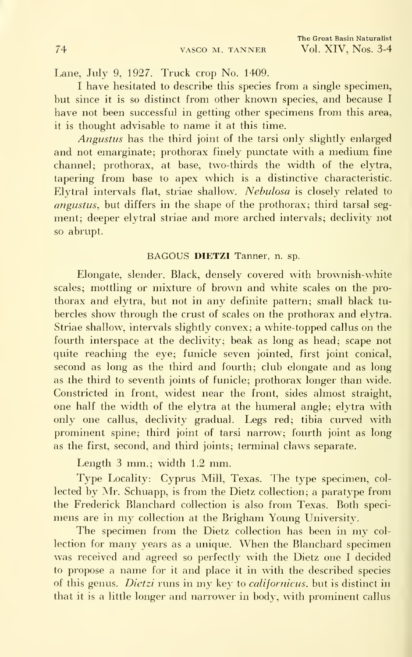Lane, July 9, 1927. Truck crop No. 1409.

<sup>I</sup> have hesitated to describe this species from a single specimen, but since it is so distinct from other known species, and because <sup>I</sup> have not been successful in getting other specimens from this area, it is thought advisable to name it at this time.

Angustus has the third joint of the tarsi only slightly enlarged and not emarginate; prothorax finely punctate with <sup>a</sup> medium fine channel; prothorax, at base, two-thirds the width of the elytra, tapering from base to apex which is a distinctive characteristic. Elytral intervals flat, striae shallow. Nebulosa is closely related to angustus, but differs in the shape of the prothorax; third tarsal seg ment; deeper elytral striae and more arched intervals; declivity not so abrupt.

#### BAGOUS DIETZI Tanner, n. sp.

Elongate, slender. Black, densely covered with brownish-white scales; mottling or mixture of brown and white scales on the pro thorax and elytra, but not in any definite pattern; small black tu bercles show through the crust of scales on the prothorax and elytra. Striae shallow, intervals slightly convex; a white-topped callus on the fourth interspace at the declivity; beak as long as head; scape not quite reaching the eye; funicle seven jointed, first joint conical, second as long as the third and fourth; club elongate and as long as the third to seventh joints of funicle; prothorax longer than wide. Constricted in front, widest near the front, sides almost straight, one half the width of the elytra at the humeral angle; elytra with only one callus, declivity gradual. Legs red; tibia curved with prominent spine; third joint of tarsi narrow; fourth joint as long as the first, second, and third joints; terminal claws separate.

Length <sup>3</sup> mm.; width 1.2 mm.

Type Locality: Cyprus Mill, Texas. The type specimen, col lected by Mr. Schuapp, is from the Dietz collection; a paratype from the Frederick Blanchard collection is also from Texas. Both speci mens are in my collection at the Brigham Young University.

The specimen from the Dietz collection has been in my col lection for many years as <sup>a</sup> unique. When the Blanchard specimen was received and agreed so perfectly with the Dietz one <sup>I</sup> decided to propose a name for it and place it in with the described species of this genus. Dietzi runs in my key to californicus, but is distinct in that it is a little longer and narrower in body, with prominent callus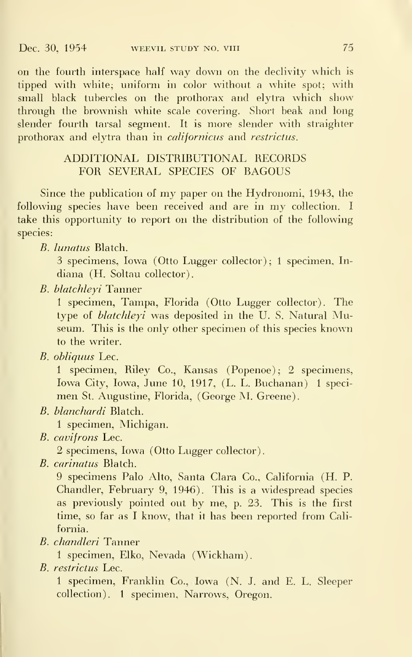on the fourth interspace half way down on the declivity which is tipped with white; uniform in color without a white spot; with small black tubercles on the prothorax and elytra which show through the brownish white scale covering. Short beak and long slender fourth tarsal segment. It is more slender with straighter prothorax and elytra than in *californicus* and *restrictus*.

## ADDITIONAL DISTRIBUTIONAL RECORDS FOR SEVERAL SPECIES OF BAGOUS

Since the publication of my paper on the Hydronomi, 1943, the following species have been received and are in my collection. <sup>I</sup> take this opportunity to report on the distribution of the following species:

B. lunatus Blatch.

3 specimens, Iowa (Otto Lugger collector); <sup>1</sup> specimen, In diana (H. Soltau collector).

B. blatchleyi Tanner

<sup>1</sup> specimen, Tampa, Florida (Otto Lugger collector). The type of *blatchleyi* was deposited in the U.S. Natural Museum. This is the only other specimen of this species known to the writer.

B. obliquus Lee.

1 specimen, Riley Co., Kansas (Popenoe); 2 specimens, Iowa City, Iowa, June 10, 1917, (L. L. Buchanan) 1 specimen St. Augustine, Florida, (George M. Greene).

B. blanchardi Blatch.

<sup>1</sup> specimen, Michigan.

B. cavifrons Lee.

2 specimens, Iowa (Otto Lugger collector).

B. carinatus Blatch.

9 specimens Palo Alto, Santa Clara Co., California (H. P. Chandler, February 9, 1946). This is a widespread species as previously pointed out by me, p. 23. This is the first time, so far as <sup>I</sup> know, that it has been reported from California.

B. chandleri Tanner

<sup>1</sup> specimen, Elko, Nevada (Wickham).

B. restrictus Lee.

<sup>1</sup> specimen, Franklin Co., Iowa (N. J. and E. L. Sleeper collection). <sup>1</sup> specimen, Narrows, Oregon.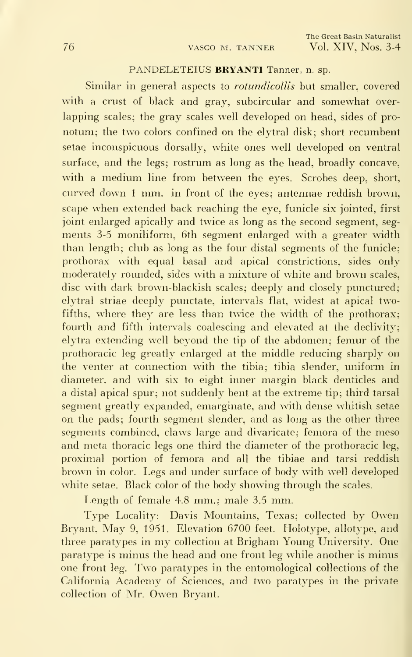#### PANDELETEIUS BRYANTI Tanner, n. sp.

Similar in general aspects to *rotundicollis* but smaller, covered with a crust of black and gray, subcircular and somewhat over lapping scales; the gray scales well developed on head, sides of pro notum; the two colors confined on the elytral disk; short recumbent setae inconspicuous dorsally, white ones well developed on ventral surface, and the legs; rostrum as long as the head, broadly concave, with a medium line from between the eyes. Scrobes deep, short, curved down <sup>1</sup> mm. in front of the eyes; antennae reddish brown, scape when extended back reaching the eye, funicle six jointed, first joint enlarged apically and twice as long as the second segment, segments 3-5 moniliform, 6th segment enlarged with a greater width than length; club as long as the four distal segments of the funicle; prothorax with equal basal and apical constrictions, sides only moderately rounded, sides with a mixture of white and brown scales, disc with dark brown-blackish scales; deeply and closely punctured; elytral striae deeply punctate, intervals flat, widest at apical twofifths, where they are less than twice the width of the prothorax; fourth and fifth intervals coalescing and elevated at the declivity; elytra extending well beyond the tip of the abdomen; femur of the prothoracic leg greatly enlarged at the middle reducing sharply on the venter at connection with the tibia; tibia slender, uniform in diameter, and with six to eight inner margin black denticles and a distal apical spur; not suddenly bent at the extreme tip; third tarsal segment greatly expanded, emarginate, and with dense whitish setae on the pads; fourth segment slender, and as long as the other three segments combined, claws large and divaricate; femora of the meso and meta thoracic legs one third the diameter of the prothoracic leg, proximal portion of femora and all the tibiae and tarsi reddish brown in color. Legs and under surface of body with well developed white setae. Black color of the body showing through the scales.

Length of female 4.8 mm.; male 3.5 mm.

Type Locality: Davis Mountains, Texas; collected by Owen Bryant, May 9, 1951. Elevation 6700 feet. Holotype, allotype, and three paratypes in my collection at Brigham Young University. One paratype is minus the head and one front leg while another is minus one front leg. Two paratypes in the entomological collections of the California Academy of Sciences, and two paratypes in the private collection of Mr. Owen Bryant.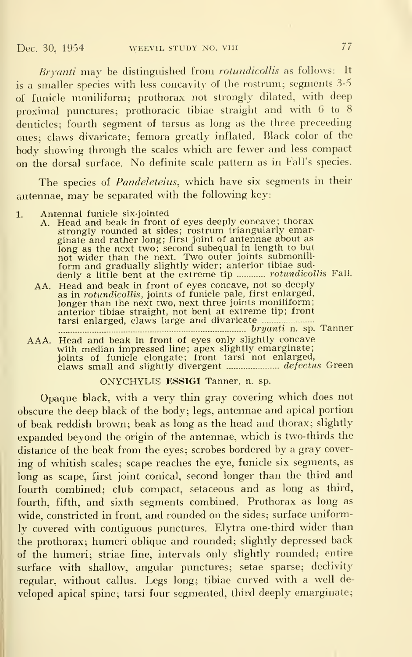Bryanti may be distinguished from rotundicollis as follows: It is <sup>a</sup> smaller species with less concavity of the rostrum; segments 3-5 of funicle moniliform; prothorax not strongly dilated, with deep proximal punctures; prothoracic tibiae straight and with 6 to 8 denticles: fourth segment of tarsus as long as the three preceeding ones; claws divaricate; femora greatly inflated. Black color of the body showing through the scales which are fewer and less compact on the dorsal surface. No definite scale pattern as in Fall's species.

The species of *Pandeleteius*, which have six segments in their antennae, may be separated with the following key:

- 1. Antennal funicle six-jointed
	- A. Head and beak in front of eyes deeply concave; thorax<br>strongly rounded at sides; rostrum triangularly emarstrongly rounded at sides; rostrum triangularly emarginate and rather long; first joint of antennae about as long as the next two; second subequal in length to but not wider than the next. Two outer joints submoniliform and gradually slightly wider; anterior tibiae sud-<br>denly a little bent at the extreme tip ............ *rotundicollis* Fall.
	- AA. Head and beak in front of eyes concave, not so deeply as in rotundicollis, joints of funicle pale, first enlarged, longer than the next two, next three joints moniliform; anterior tibiae straight, not bent at extreme tip; front tarsi enlarged, claws large and divaricate bryanti n. sp. Tanner
	- AAA. Head and beak in front of eyes only slightly concave with median impressed line; apex slightly emarginate; joints of funicle elongate; front tarsi not enlarged,<br>claws small and slightly divergent ...................... *defectus* Green

#### ONYCHYLIS ESSIGI Tanner, n. sp.

Opaque black, with <sup>a</sup> very thin gray covering which does not obscure the deep black of the body; legs, antennae and apical portion of beak reddish brown; beak as long as the head and thorax; slightly expanded beyond the origin of the antennae, which is two-thirds the distance of the beak from the eyes; scrobes bordered by a gray cover ing of whitish scales; scape reaches the eye, funicle six segments, as long as scape, first joint conical, second longer than the third and fourth combined; club compact, setaceous and as long as third, fourth, fifth, and sixth segments combined. Prothorax as long as wide, constricted in front, and rounded on the sides; surface uniformly covered with contiguous punctures. Elytra one-third wider than the prothorax; humeri oblique and rounded; slightly depressed back of the humeri; striae fine, intervals only slightly rounded; entire surface with shallow, angular punctures; setae sparse; declivity regular, without callus. Legs long; tibiae curved with a well developed apical spine; tarsi four segmented, third deeply emarginate;